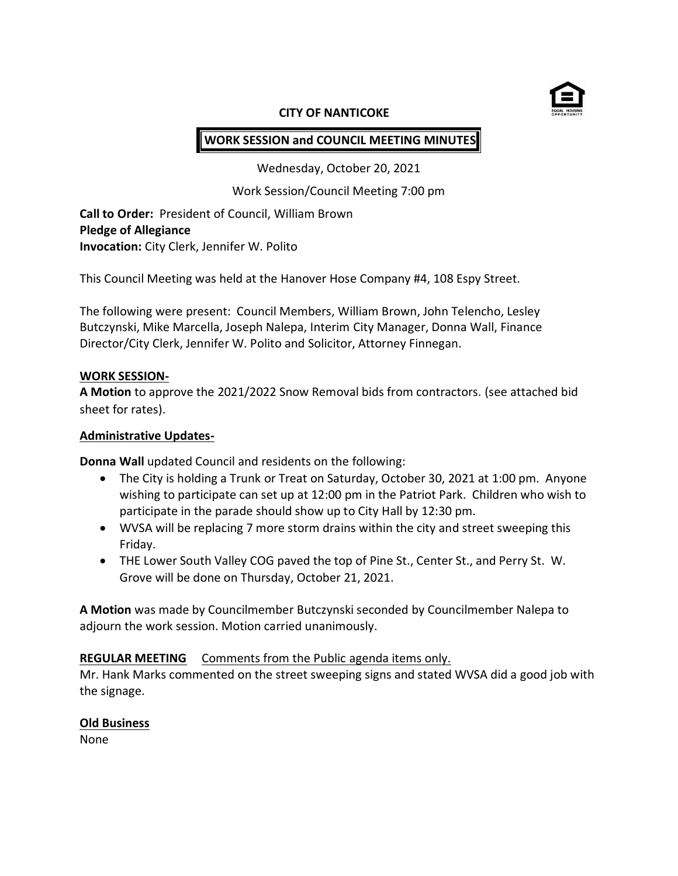

### **CITY OF NANTICOKE**

# **WORK SESSION and COUNCIL MEETING MINUTES**

Wednesday, October 20, 2021

Work Session/Council Meeting 7:00 pm

**Call to Order:** President of Council, William Brown **Pledge of Allegiance Invocation:** City Clerk, Jennifer W. Polito

This Council Meeting was held at the Hanover Hose Company #4, 108 Espy Street.

The following were present: Council Members, William Brown, John Telencho, Lesley Butczynski, Mike Marcella, Joseph Nalepa, Interim City Manager, Donna Wall, Finance Director/City Clerk, Jennifer W. Polito and Solicitor, Attorney Finnegan.

### **WORK SESSION-**

**A Motion** to approve the 2021/2022 Snow Removal bids from contractors. (see attached bid sheet for rates).

### **Administrative Updates-**

**Donna Wall** updated Council and residents on the following:

- The City is holding a Trunk or Treat on Saturday, October 30, 2021 at 1:00 pm. Anyone wishing to participate can set up at 12:00 pm in the Patriot Park. Children who wish to participate in the parade should show up to City Hall by 12:30 pm.
- WVSA will be replacing 7 more storm drains within the city and street sweeping this Friday.
- THE Lower South Valley COG paved the top of Pine St., Center St., and Perry St. W. Grove will be done on Thursday, October 21, 2021.

**A Motion** was made by Councilmember Butczynski seconded by Councilmember Nalepa to adjourn the work session. Motion carried unanimously.

### **REGULAR MEETING** Comments from the Public agenda items only.

Mr. Hank Marks commented on the street sweeping signs and stated WVSA did a good job with the signage.

### **Old Business**

None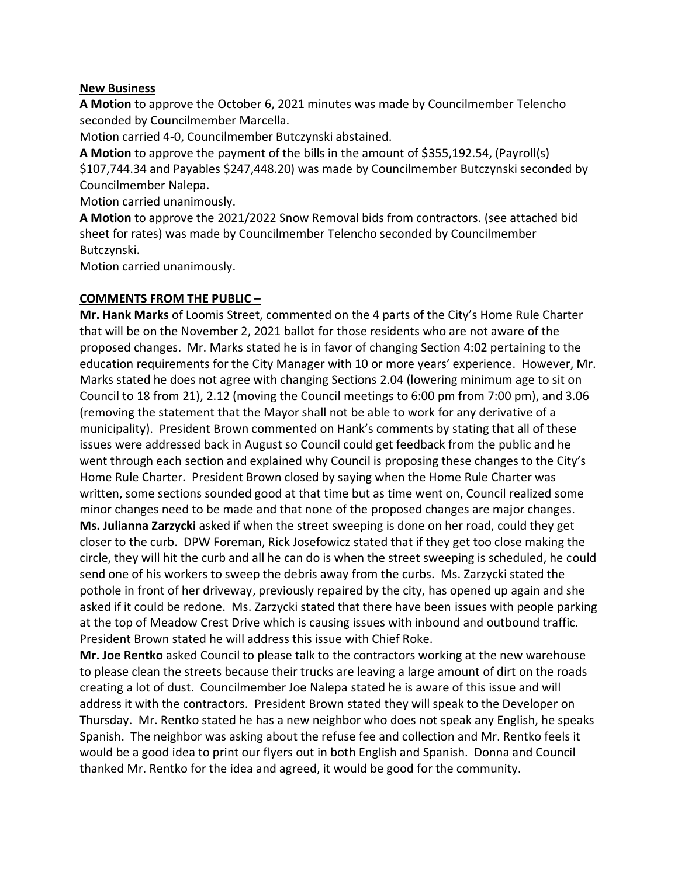### **New Business**

**A Motion** to approve the October 6, 2021 minutes was made by Councilmember Telencho seconded by Councilmember Marcella.

Motion carried 4-0, Councilmember Butczynski abstained.

**A Motion** to approve the payment of the bills in the amount of \$355,192.54, (Payroll(s) \$107,744.34 and Payables \$247,448.20) was made by Councilmember Butczynski seconded by Councilmember Nalepa.

Motion carried unanimously.

**A Motion** to approve the 2021/2022 Snow Removal bids from contractors. (see attached bid sheet for rates) was made by Councilmember Telencho seconded by Councilmember Butczynski.

Motion carried unanimously.

## **COMMENTS FROM THE PUBLIC –**

**Mr. Hank Marks** of Loomis Street, commented on the 4 parts of the City's Home Rule Charter that will be on the November 2, 2021 ballot for those residents who are not aware of the proposed changes. Mr. Marks stated he is in favor of changing Section 4:02 pertaining to the education requirements for the City Manager with 10 or more years' experience. However, Mr. Marks stated he does not agree with changing Sections 2.04 (lowering minimum age to sit on Council to 18 from 21), 2.12 (moving the Council meetings to 6:00 pm from 7:00 pm), and 3.06 (removing the statement that the Mayor shall not be able to work for any derivative of a municipality). President Brown commented on Hank's comments by stating that all of these issues were addressed back in August so Council could get feedback from the public and he went through each section and explained why Council is proposing these changes to the City's Home Rule Charter. President Brown closed by saying when the Home Rule Charter was written, some sections sounded good at that time but as time went on, Council realized some minor changes need to be made and that none of the proposed changes are major changes. **Ms. Julianna Zarzycki** asked if when the street sweeping is done on her road, could they get closer to the curb. DPW Foreman, Rick Josefowicz stated that if they get too close making the circle, they will hit the curb and all he can do is when the street sweeping is scheduled, he could send one of his workers to sweep the debris away from the curbs. Ms. Zarzycki stated the pothole in front of her driveway, previously repaired by the city, has opened up again and she asked if it could be redone. Ms. Zarzycki stated that there have been issues with people parking at the top of Meadow Crest Drive which is causing issues with inbound and outbound traffic. President Brown stated he will address this issue with Chief Roke.

**Mr. Joe Rentko** asked Council to please talk to the contractors working at the new warehouse to please clean the streets because their trucks are leaving a large amount of dirt on the roads creating a lot of dust. Councilmember Joe Nalepa stated he is aware of this issue and will address it with the contractors. President Brown stated they will speak to the Developer on Thursday. Mr. Rentko stated he has a new neighbor who does not speak any English, he speaks Spanish. The neighbor was asking about the refuse fee and collection and Mr. Rentko feels it would be a good idea to print our flyers out in both English and Spanish. Donna and Council thanked Mr. Rentko for the idea and agreed, it would be good for the community.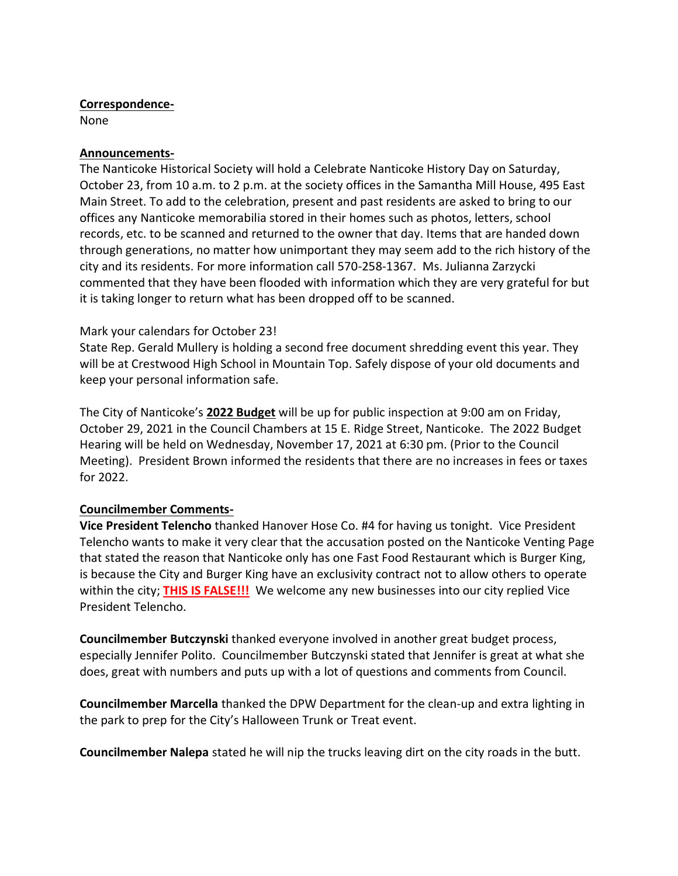## **Correspondence-**

None

## **Announcements-**

The Nanticoke Historical Society will hold a Celebrate Nanticoke History Day on Saturday, October 23, from 10 a.m. to 2 p.m. at the society offices in the Samantha Mill House, 495 East Main Street. To add to the celebration, present and past residents are asked to bring to our offices any Nanticoke memorabilia stored in their homes such as photos, letters, school records, etc. to be scanned and returned to the owner that day. Items that are handed down through generations, no matter how unimportant they may seem add to the rich history of the city and its residents. For more information call 570-258-1367. Ms. Julianna Zarzycki commented that they have been flooded with information which they are very grateful for but it is taking longer to return what has been dropped off to be scanned.

## Mark your calendars for October 23!

State Rep. Gerald Mullery is holding a second free document shredding event this year. They will be at Crestwood High School in Mountain Top. Safely dispose of your old documents and keep your personal information safe.

The City of Nanticoke's **2022 Budget** will be up for public inspection at 9:00 am on Friday, October 29, 2021 in the Council Chambers at 15 E. Ridge Street, Nanticoke. The 2022 Budget Hearing will be held on Wednesday, November 17, 2021 at 6:30 pm. (Prior to the Council Meeting). President Brown informed the residents that there are no increases in fees or taxes for 2022.

## **Councilmember Comments-**

**Vice President Telencho** thanked Hanover Hose Co. #4 for having us tonight. Vice President Telencho wants to make it very clear that the accusation posted on the Nanticoke Venting Page that stated the reason that Nanticoke only has one Fast Food Restaurant which is Burger King, is because the City and Burger King have an exclusivity contract not to allow others to operate within the city; **THIS IS FALSE!!!** We welcome any new businesses into our city replied Vice President Telencho.

**Councilmember Butczynski** thanked everyone involved in another great budget process, especially Jennifer Polito. Councilmember Butczynski stated that Jennifer is great at what she does, great with numbers and puts up with a lot of questions and comments from Council.

**Councilmember Marcella** thanked the DPW Department for the clean-up and extra lighting in the park to prep for the City's Halloween Trunk or Treat event.

**Councilmember Nalepa** stated he will nip the trucks leaving dirt on the city roads in the butt.